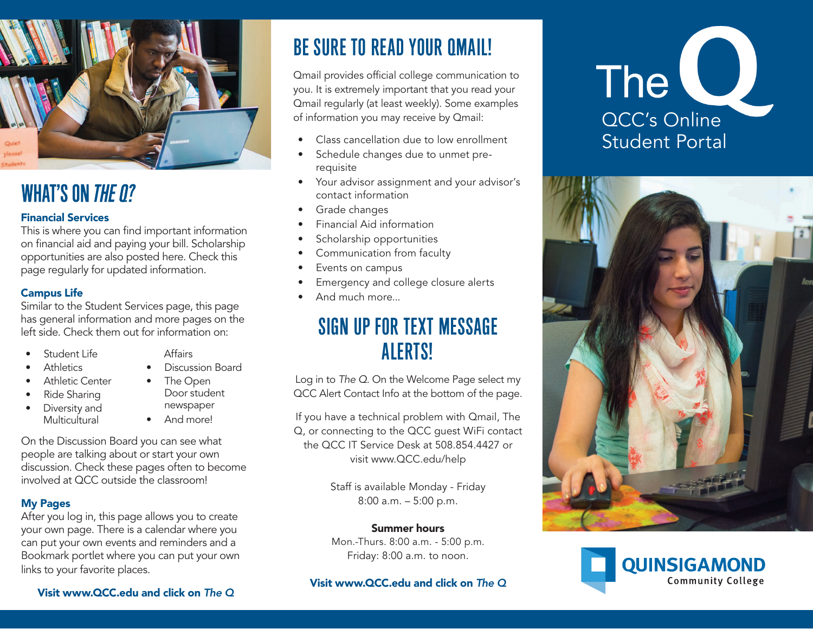

## **WHAT'S ON THE 0?**

#### Financial Services

This is where you can find important information on financial aid and paying your bill. Scholarship opportunities are also posted here. Check this page regularly for updated information.

#### Campus Life

Similar to the Student Services page, this page has general information and more pages on the left side. Check them out for information on:

- Student Life
- **Athletics**
- Athletic Center
- Ride Sharing
- Diversity and Multicultural
- Affairs
- Discussion Board
- The Open Door student newspaper • And more!

On the Discussion Board you can see what people are talking about or start your own discussion. Check these pages often to become involved at QCC outside the classroom!

#### My Pages

After you log in, this page allows you to create your own page. There is a calendar where you can put your own events and reminders and a Bookmark portlet where you can put your own links to your favorite places.

# BE SURE TO READ YOUR QMAIL!

Qmail provides official college communication to you. It is extremely important that you read your Qmail regularly (at least weekly). Some examples of information you may receive by Qmail:

- Class cancellation due to low enrollment
- Schedule changes due to unmet prerequisite
- Your advisor assignment and your advisor's contact information
- Grade changes
- Financial Aid information
- Scholarship opportunities
- Communication from faculty
- Events on campus
- Emergency and college closure alerts
- And much more...

### SIGN UP FOR TEXT MESSAGE ALERTS!

Log in to *The Q*. On the Welcome Page select my QCC Alert Contact Info at the bottom of the page.

If you have a technical problem with Qmail, The Q, or connecting to the QCC guest WiFi contact the QCC IT Service Desk at 508.854.4427 or visit www.QCC.edu/help

> Staff is available Monday - Friday 8:00 a.m. – 5:00 p.m.

#### Summer hours

Mon.-Thurs. 8:00 a.m. - 5:00 p.m. Friday: 8:00 a.m. to noon.

Visit www.QCC.edu and click on *The Q*